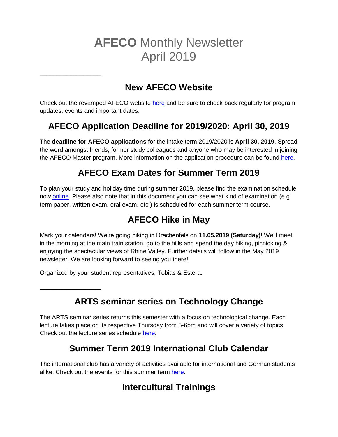# **AFECO** Monthly Newsletter April 2019

### **New AFECO Website**

Check out the revamped AFECO website [here](https://www.afeco.uni-bonn.de/) and be sure to check back regularly for program updates, events and important dates.

# **AFECO Application Deadline for 2019/2020: April 30, 2019**

The **deadline for AFECO applications** for the intake term 2019/2020 is **April 30, 2019**. Spread the word amongst friends, former study colleagues and anyone who may be interested in joining the AFECO Master program. More information on the application procedure can be found [here.](https://www.afeco.uni-bonn.de/application-procedure/)

# **AFECO Exam Dates for Summer Term 2019**

To plan your study and holiday time during summer 2019, please find the examination schedule now [online.](https://www.lf.uni-bonn.de/en/downloads/studying/examination-office/exam-dates/exam-dates-suse-msc-afeco) Please also note that in this document you can see what kind of examination (e.g. term paper, written exam, oral exam, etc.) is scheduled for each summer term course.

# **AFECO Hike in May**

Mark your calendars! We're going hiking in Drachenfels on **11.05.2019 (Saturday)**! We'll meet in the morning at the main train station, go to the hills and spend the day hiking, picnicking & enjoying the spectacular views of Rhine Valley. Further details will follow in the May 2019 newsletter. We are looking forward to seeing you there!

Organized by your student representatives, Tobias & Estera.

\_\_\_\_\_\_\_\_\_\_\_\_\_\_\_\_\_\_

\_\_\_\_\_\_\_\_\_\_\_\_\_\_\_\_\_\_

**ARTS seminar series on Technology Change**

The ARTS seminar series returns this semester with a focus on technological change. Each lecture takes place on its respective Thursday from 5-6pm and will cover a variety of topics. Check out the lecture series schedule [here.](https://www.arts.uni-bonn.de/Information-for-ARTS-Students/seminar-series-ringvorlesung)

### **Summer Term 2019 International Club Calendar**

The international club has a variety of activities available for international and German students alike. Check out the events for this summer term [here.](https://www.uni-bonn.de/studying/international-students/counceling-and-service/international-club/calendar)

# **Intercultural Trainings**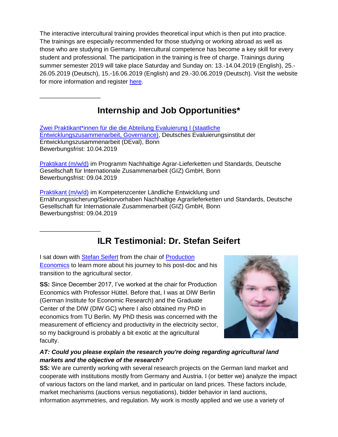The interactive intercultural training provides theoretical input which is then put into practice. The trainings are especially recommended for those studying or working abroad as well as those who are studying in Germany. Intercultural competence has become a key skill for every student and professional. The participation in the training is free of charge. Trainings during summer semester 2019 will take place Saturday and Sunday on: 13.-14.04.2019 (English), 25.- 26.05.2019 (Deutsch), 15.-16.06.2019 (English) and 29.-30.06.2019 (Deutsch). Visit the website for more information and register [here.](https://www.uni-bonn.de/studium/studium-und-praktikum-im-ausland/zertifikat-fuer-internationale-kompetenz-en/interkulturelle-trainings-en?set_language=en)

### **Internship and Job Opportunities\***

[Zwei Praktikant\\*innen für die die Abteilung Evaluierung I \(staatliche](https://www.deval.org/de/stellenausschreibung/zwei-praktikantinnen-f%C3%BCr-die-die-abteilung-evaluierung-i-staatliche-entwicklungszusammenarbeit-governance.html)  [Entwicklungszusammenarbeit, Governance\),](https://www.deval.org/de/stellenausschreibung/zwei-praktikantinnen-f%C3%BCr-die-die-abteilung-evaluierung-i-staatliche-entwicklungszusammenarbeit-governance.html) Deutsches Evaluierungsinstitut der Entwicklungszusammenarbeit (DEval), Bonn Bewerbungsfrist: 10.04.2019

\_\_\_\_\_\_\_\_\_\_\_\_\_\_\_\_\_\_

\_\_\_\_\_\_\_\_\_\_\_\_\_\_\_\_\_\_

[Praktikant \(m/w/d\)](https://jobs.giz.de/index.php?ac=jobad&id=42797) im Programm Nachhaltige Agrar-Lieferketten und Standards, Deutsche Gesellschaft für Internationale Zusammenarbeit (GIZ) GmbH, Bonn Bewerbungsfrist: 09.04.2019

[Praktikant \(m/w/d\)](https://jobs.giz.de/index.php?ac=jobad&id=index.php?ac=jobad&id=42796) im Kompetenzcenter Ländliche Entwicklung und Ernährungssicherung/Sektorvorhaben Nachhaltige Agrarlieferketten und Standards, Deutsche Gesellschaft für Internationale Zusammenarbeit (GIZ) GmbH, Bonn Bewerbungsfrist: 09.04.2019

### **ILR Testimonial: Dr. Stefan Seifert**

I sat down with [Stefan Seifert](http://ilr.uni-bonn.de/pe/staff/seifert/seifert_d.htm) from the chair of Production [Economics](http://ilr.uni-bonn.de/pe/pe_e.htm) to learn more about his journey to his post-doc and his transition to the agricultural sector.

**SS:** Since December 2017, I've worked at the chair for Production Economics with Professor Hüttel. Before that, I was at DIW Berlin (German Institute for Economic Research) and the Graduate Center of the DIW (DIW GC) where I also obtained my PhD in economics from TU Berlin. My PhD thesis was concerned with the measurement of efficiency and productivity in the electricity sector, so my background is probably a bit exotic at the agricultural faculty.



#### *AT: Could you please explain the research you're doing regarding agricultural land markets and the objective of the research?*

**SS:** We are currently working with several research projects on the German land market and cooperate with institutions mostly from Germany and Austria. I (or better we) analyze the impact of various factors on the land market, and in particular on land prices. These factors include, market mechanisms (auctions versus negotiations), bidder behavior in land auctions, information asymmetries, and regulation. My work is mostly applied and we use a variety of